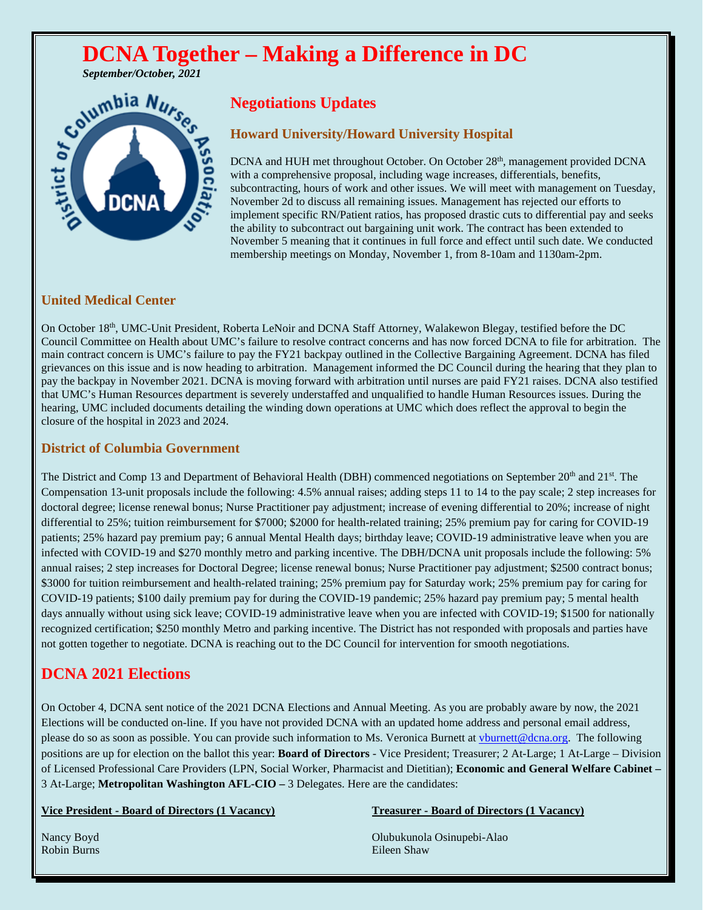# **DCNA Together – Making a Difference in DC** September/October, 2021



# **Negotiations Updates**

## **Howard University/Howard University Hospital**

DCNA and HUH met throughout October. On October 28<sup>th</sup>, management provided DCNA with a comprehensive proposal, including wage increases, differentials, benefits, subcontracting, hours of work and other issues. We will meet with management on Tuesday, November 2d to discuss all remaining issues. Management has rejected our efforts to implement specific RN/Patient ratios, has proposed drastic cuts to differential pay and seeks the ability to subcontract out bargaining unit work. The contract has been extended to November 5 meaning that it continues in full force and effect until such date. We conducted membership meetings on Monday, November 1, from 8-10am and 1130am-2pm.

# **United Medical Center**

On October 18<sup>th</sup>, UMC-Unit President, Roberta LeNoir and DCNA Staff Attorney, Walakewon Blegay, testified before the DC Council Committee on Health about UMC's failure to resolve contract concerns and has now forced DCNA to file for arbitration. The main contract concern is UMC's failure to pay the FY21 backpay outlined in the Collective Bargaining Agreement. DCNA has filed grievances on this issue and is now heading to arbitration. Management informed the DC Council during the hearing that they plan to pay the backpay in November 2021. DCNA is moving forward with arbitration until nurses are paid FY21 raises. DCNA also testified that UMC's Human Resources department is severely understaffed and unqualified to handle Human Resources issues. During the hearing, UMC included documents detailing the winding down operations at UMC which does reflect the approval to begin the closure of the hospital in 2023 and 2024.

### **District of Columbia Government**

The District and Comp 13 and Department of Behavioral Health (DBH) commenced negotiations on September 20<sup>th</sup> and 21<sup>st</sup>. The Compensation 13-unit proposals include the following: 4.5% annual raises; adding steps 11 to 14 to the pay scale; 2 step increases for doctoral degree; license renewal bonus; Nurse Practitioner pay adjustment; increase of evening differential to 20%; increase of night differential to 25%; tuition reimbursement for \$7000; \$2000 for health-related training; 25% premium pay for caring for COVID-19 patients; 25% hazard pay premium pay; 6 annual Mental Health days; birthday leave; COVID-19 administrative leave when you are infected with COVID-19 and \$270 monthly metro and parking incentive. The DBH/DCNA unit proposals include the following: 5% annual raises; 2 step increases for Doctoral Degree; license renewal bonus; Nurse Practitioner pay adjustment; \$2500 contract bonus; \$3000 for tuition reimbursement and health-related training; 25% premium pay for Saturday work; 25% premium pay for caring for COVID-19 patients; \$100 daily premium pay for during the COVID-19 pandemic; 25% hazard pay premium pay; 5 mental health days annually without using sick leave; COVID-19 administrative leave when you are infected with COVID-19; \$1500 for nationally recognized certification; \$250 monthly Metro and parking incentive. The District has not responded with proposals and parties have not gotten together to negotiate. DCNA is reaching out to the DC Council for intervention for smooth negotiations.

# **DCNA 2021 Elections**

On October 4, DCNA sent notice of the 2021 DCNA Elections and Annual Meeting. As you are probably aware by now, the 2021 Elections will be conducted on-line. If you have not provided DCNA with an updated home address and personal email address, please do so as soon as possible. You can provide such information to Ms. Veronica Burnett at [vburnett@dcna.org.](mailto:vburnett@dcna.org) The following positions are up for election on the ballot this year: **Board of Directors** - Vice President; Treasurer; 2 At-Large; 1 At-Large – Division of Licensed Professional Care Providers (LPN, Social Worker, Pharmacist and Dietitian); **Economic and General Welfare Cabinet –** 3 At-Large; **Metropolitan Washington AFL-CIO –** 3 Delegates. Here are the candidates:

### **Vice President - Board of Directors (1 Vacancy) Treasurer - Board of Directors (1 Vacancy)**

Nancy Boyd Olubukunola Osinupebi-Alao Robin Burns Eileen Shaw